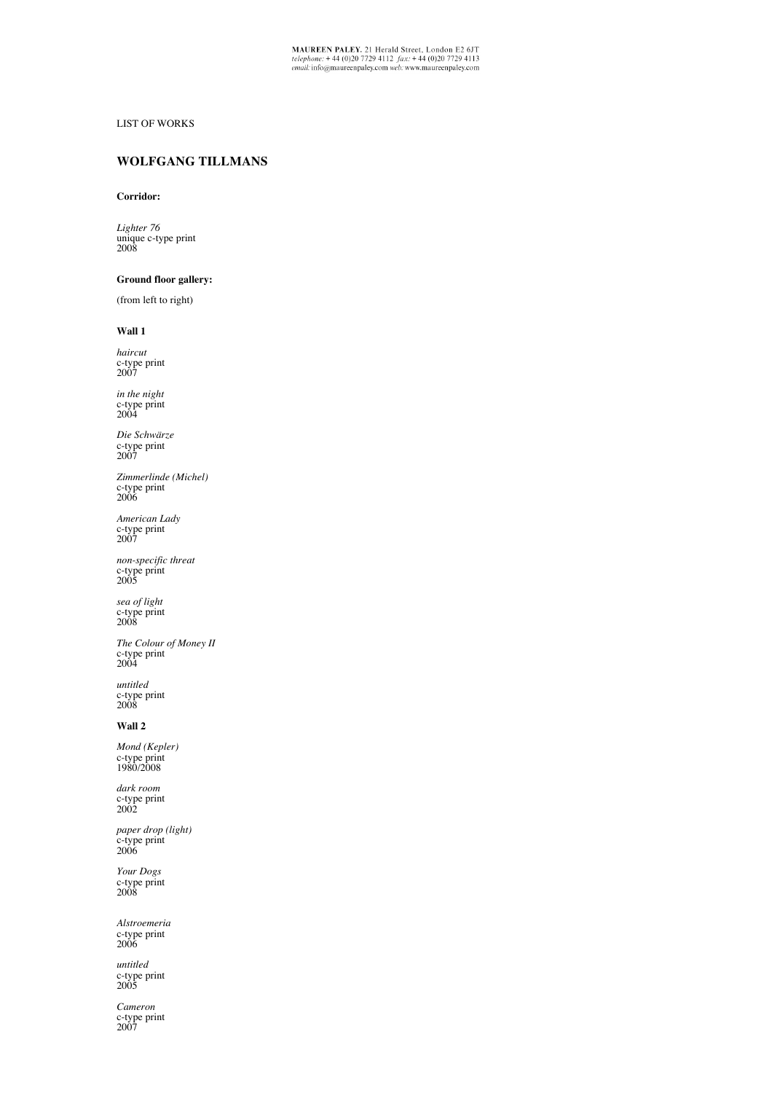# LIST OF WORKS

# **WOLFGANG TILLMANS**

#### **Corridor:**

*Lighter 76*  unique c-type print 2008

# **Ground floor gallery:**

(from left to right)

#### **Wall 1**

*haircut* c-type print 2007

*in the night*  c-type print 2004

*Die Schwärze*  c-type print 2007

*Zimmerlinde (Michel)* c-type print 2006

*American Lady*  c-type print 2007

*non-specific threat* c-type print 2005

*sea of light*  c-type print 2008

*The Colour of Money II*  c-type print 2004

*untitled* c-type print 2008

## **Wall 2**

*Mond (Kepler)* c-type print 1980/2008

*dark room*  c-type print 2002

*paper drop (light)*  c-type print 2006

*Your Dogs*  c-type print 2008

*Alstroemeria*  c-type print 2006

*untitled* c-type print 2005

*Cameron*<br>c-type print<br>2007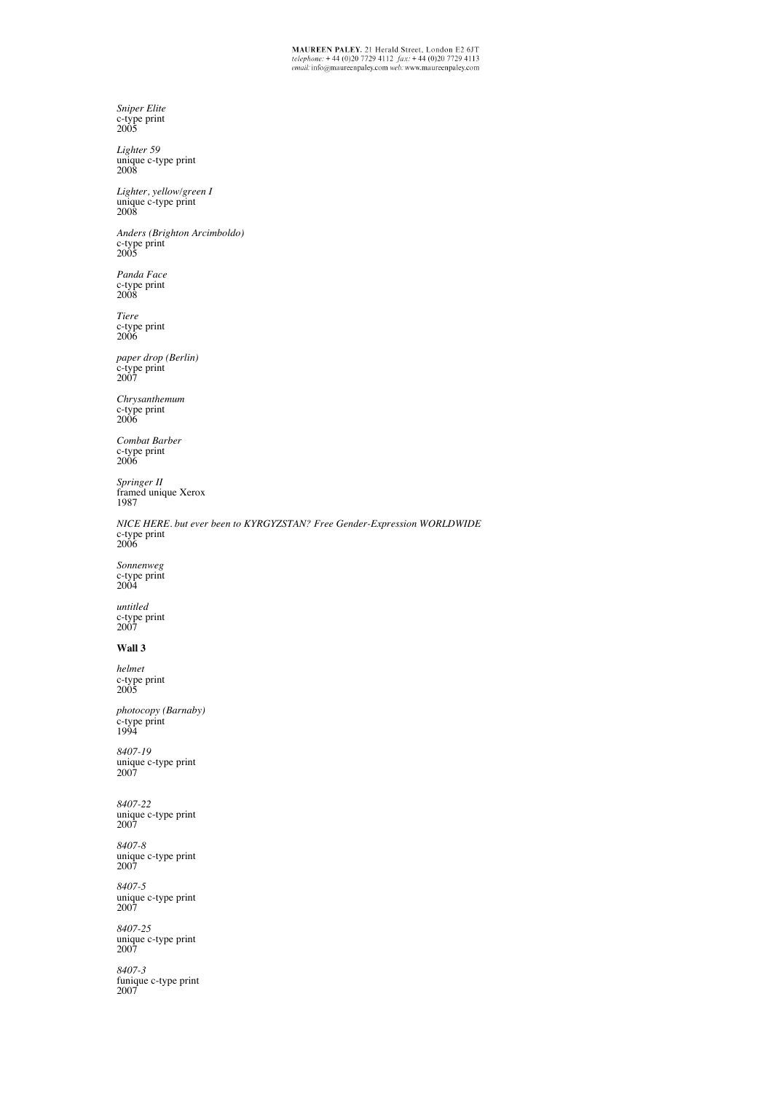$\begin{array}{l} \textbf{MAUREEN PALEY.} \textbf{21} \text{ Herald Street, London E2 6JT} \\ \textit{telephone: +44 (0)20 7729 4112 } \textit{fix: +44 (0)20 7729 4113} \\ \textit{email: info@maureenpaley.com web: www.maureenpaley.com} \end{array}$ 

*Sniper Elite*  c-type print 2005 *Lighter 59*  unique c-type print 2008 *Lighter, yellow/green I* unique c-type print 2008 *Anders (Brighton Arcimboldo)* c-type print 2005 *Panda Face* c-type print 2008 *Tiere*  c-type print 2006 *paper drop (Berlin)* c-type print 2007 *Chrysanthemum* c-type print 2006 *Combat Barber* c-type print 2006 *Springer II*  framed unique Xerox 1987 *NICE HERE. but ever been to KYRGYZSTAN? Free Gender-Expression WORLDWIDE* c-type print 2006 *Sonnenweg*  c-type print 2004 *untitled* c-type print 2007 **Wall 3** *helmet* c-type print 2005 *photocopy (Barnaby)*  c-type print 1994 *8407-19*  unique c-type print 2007 *8407-22*  unique c-type print 2007 *8407-8*  unique c-type print 2007 *8407-5*  unique c-type print 2007 *8407-25*  unique c-type print 2007 *8407-3*  funique c-type print 2007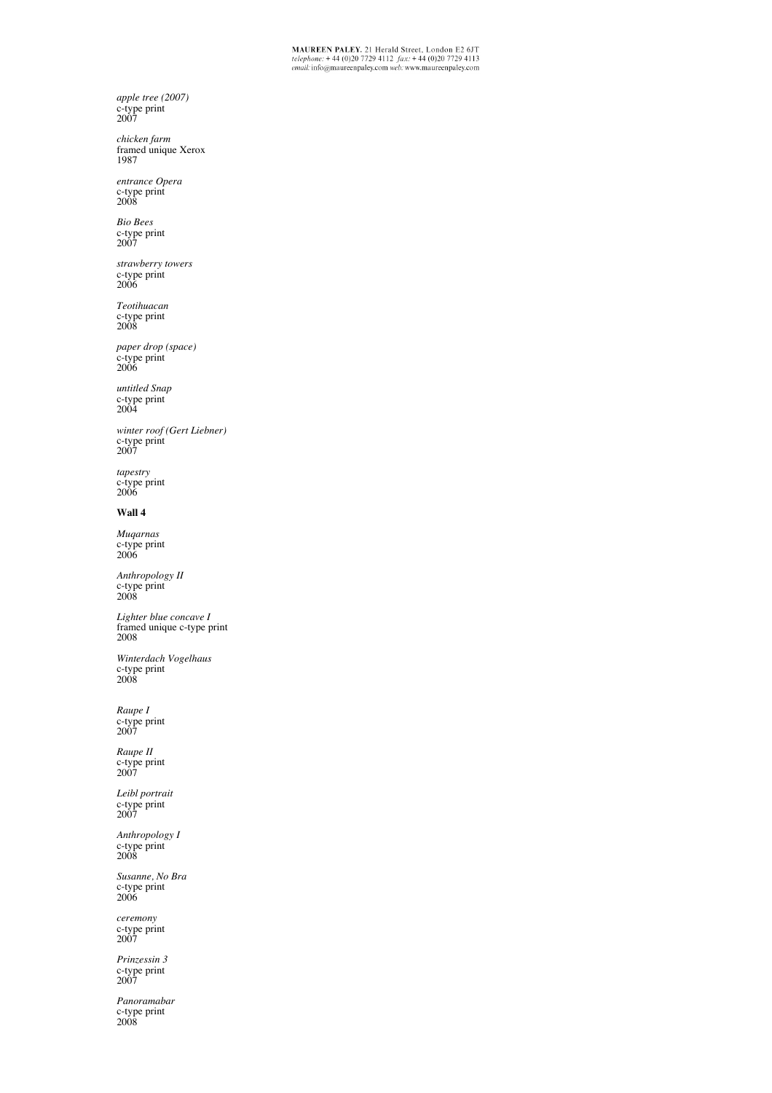*Panoramabar* c-type print 2008

*Prinzessin 3*  c-type print 2007

*ceremony*  c-type print 2007

*Susanne, No Bra*  c-type print 2006

*Anthropology I*  c-type print 2008

*Leibl portrait*  c-type print 2007

*Raupe II*  c-type print 2007

*Raupe I* c-type print 2007

*Winterdach Vogelhaus*  c-type print 2008

*Lighter blue concave I*  framed unique c-type print 2008

*Anthropology II*  c-type print 2008

*Muqarnas* c-type print 2006

## **Wall 4**

*tapestry*  c-type print 2006

*winter roof (Gert Liebner)*  c-type print 2007

*untitled Snap* c-type print 2004

*paper drop (space)*  c-type print 2006

*Teotihuacan*  c-type print 2008

*strawberry towers*  c-type print 2006

*Bio Bees*  c-type print 2007

*entrance Opera*  c-type print 2008

*chicken farm*  framed unique Xerox 1987

*apple tree (2007)*  c-type print 2007

 $\begin{array}{l} \textbf{MAUREEN PALEY.} \textbf{21} \text{ Herald Street, London E2 6JT} \\ \textit{telephone: +44 (0)20 7729 4112 } \textit{fix: +44 (0)20 7729 4113} \\ \textit{email: info@maureenpaley.com web: www.maureenpaley.com} \end{array}$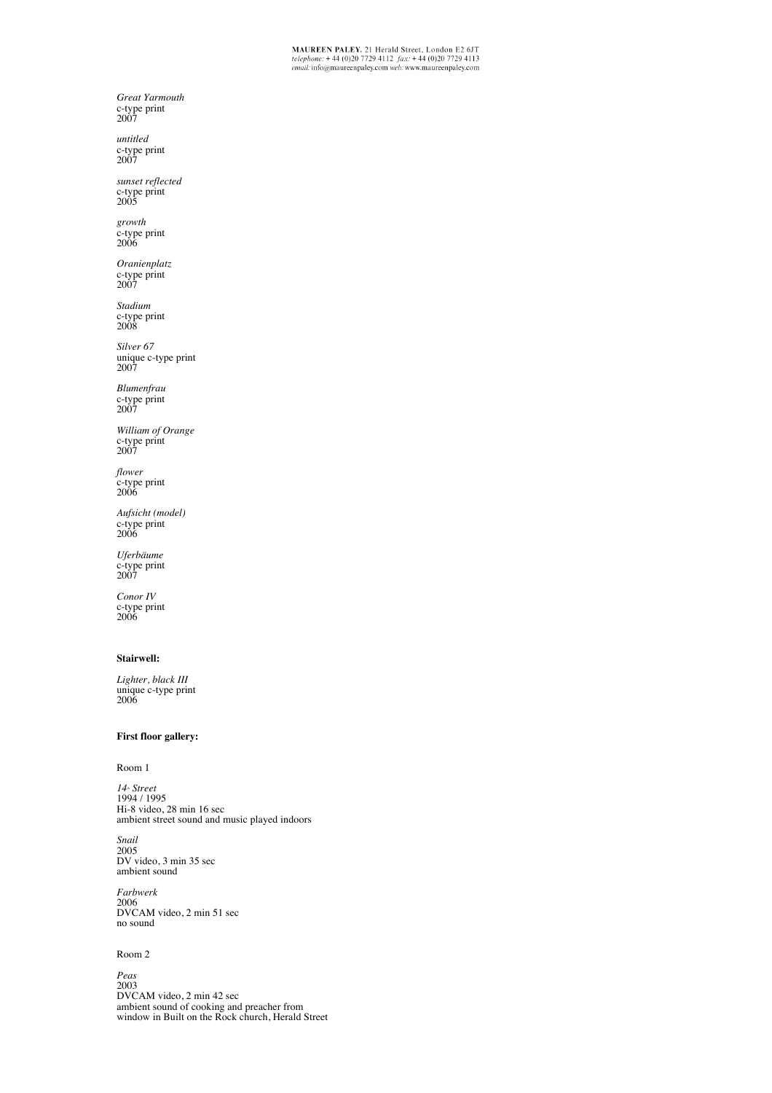*Lighter, black III*  unique c-type print 2006

*Great Yarmouth*  c-type print 2007 *untitled* c-type print 2007 *sunset reflected* c-type print 2005

*growth*  c-type print 2006 *Oranienplatz*  c-type print 2007 *Stadium*  c-type print 2008 *Silver 67* unique c-type print

2007 *Blumenfrau*  c-type print 2007

*William of Orange*  c-type print 2007

*flower*  c-type print 2006

*Uferbäume*  c-type print 2007

*Conor IV*  c-type print 2006

**Stairwell:**

*Aufsicht (model)* c-type print 2006

### **First floor gallery:**

Room 1

*14<sub>\*</sub> Street*<br>1994 / 1995 Hi-8 video, 28 min 16 sec ambient street sound and music played indoors

*Snail* 2005 DV video, 3 min 35 sec ambient sound

*Farbwerk* 2006 DVCAM video, 2 min 51 sec no sound

#### Room 2

*Peas* 2003 DVCAM video, 2 min 42 sec ambient sound of cooking and preacher from window in Built on the Rock church, Herald Street

 $\begin{array}{l} \textbf{MAUREEN PALEY.} \textbf{21} \text{ Herald Street, London E2 6JT} \\ \textit{telephone: +44 (0)20 7729 4112 } \textit{fix: +44 (0)20 7729 4113} \\ \textit{email: info@maureenpaley.com web: www.maureenpaley.com} \end{array}$